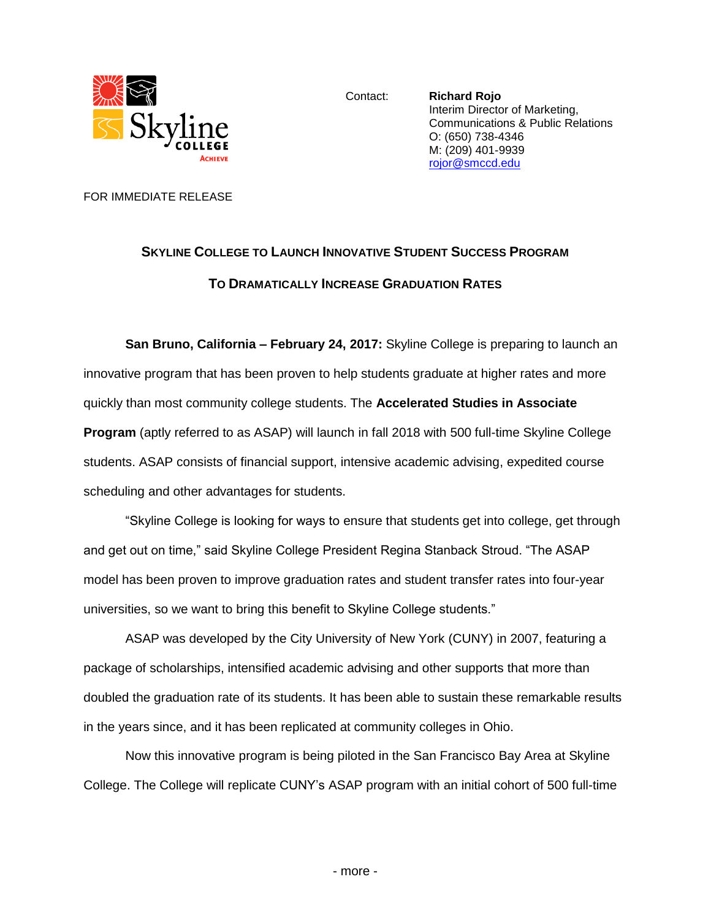

Contact: **Richard Rojo** Interim Director of Marketing, Communications & Public Relations O: (650) 738-4346 M: (209) 401-9939 [rojor@smccd.edu](mailto:rojor@smccd.edu) 

FOR IMMEDIATE RELEASE

# **SKYLINE COLLEGE TO LAUNCH INNOVATIVE STUDENT SUCCESS PROGRAM TO DRAMATICALLY INCREASE GRADUATION RATES**

**San Bruno, California – February 24, 2017:** Skyline College is preparing to launch an innovative program that has been proven to help students graduate at higher rates and more quickly than most community college students. The **Accelerated Studies in Associate Program** (aptly referred to as ASAP) will launch in fall 2018 with 500 full-time Skyline College students. ASAP consists of financial support, intensive academic advising, expedited course scheduling and other advantages for students.

"Skyline College is looking for ways to ensure that students get into college, get through and get out on time," said Skyline College President Regina Stanback Stroud. "The ASAP model has been proven to improve graduation rates and student transfer rates into four-year universities, so we want to bring this benefit to Skyline College students."

ASAP was developed by the City University of New York (CUNY) in 2007, featuring a package of scholarships, intensified academic advising and other supports that more than doubled the graduation rate of its students. It has been able to sustain these remarkable results in the years since, and it has been replicated at community colleges in Ohio.

Now this innovative program is being piloted in the San Francisco Bay Area at Skyline College. The College will replicate CUNY's ASAP program with an initial cohort of 500 full-time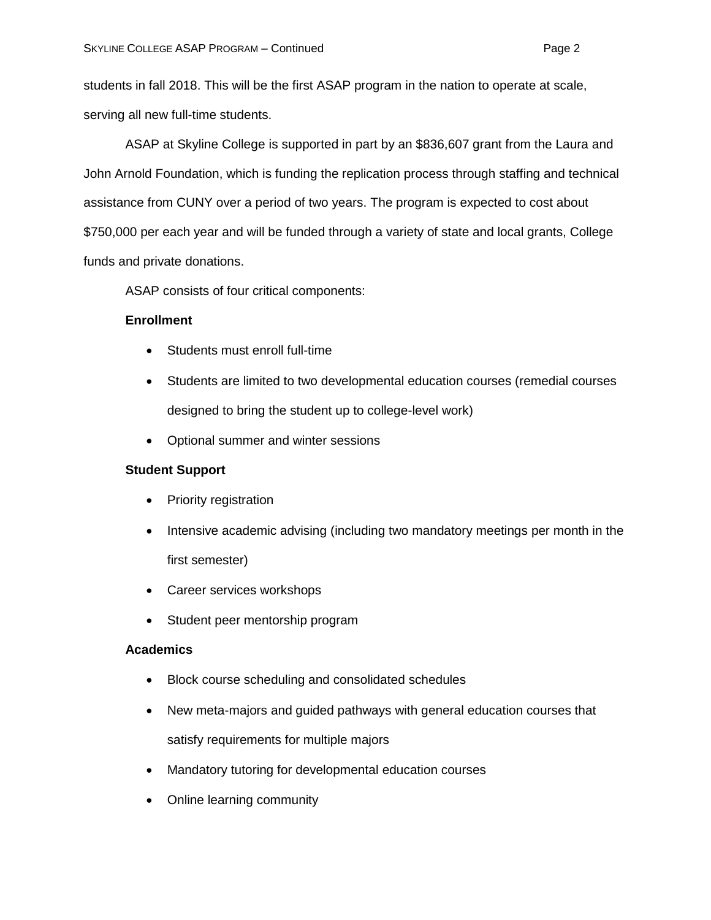students in fall 2018. This will be the first ASAP program in the nation to operate at scale, serving all new full-time students.

ASAP at Skyline College is supported in part by an \$836,607 grant from the Laura and John Arnold Foundation, which is funding the replication process through staffing and technical assistance from CUNY over a period of two years. The program is expected to cost about \$750,000 per each year and will be funded through a variety of state and local grants, College funds and private donations.

ASAP consists of four critical components:

## **Enrollment**

- Students must enroll full-time
- Students are limited to two developmental education courses (remedial courses designed to bring the student up to college-level work)
- Optional summer and winter sessions

## **Student Support**

- Priority registration
- Intensive academic advising (including two mandatory meetings per month in the first semester)
- Career services workshops
- Student peer mentorship program

## **Academics**

- Block course scheduling and consolidated schedules
- New meta-majors and guided pathways with general education courses that satisfy requirements for multiple majors
- Mandatory tutoring for developmental education courses
- Online learning community